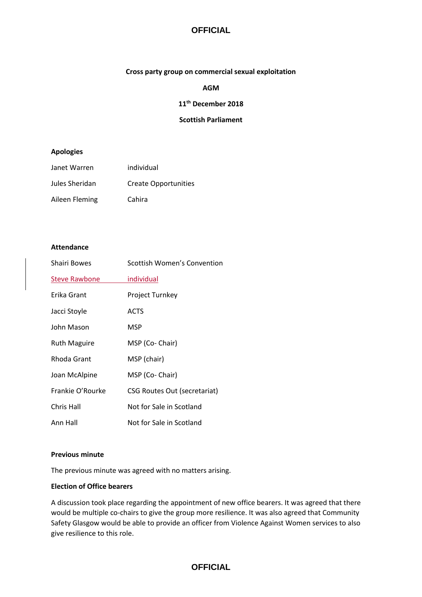# **OFFICIAL**

#### **Cross party group on commercial sexual exploitation**

**AGM**

#### **11th December 2018**

## **Scottish Parliament**

#### **Apologies**

| Janet Warren   | individual                  |
|----------------|-----------------------------|
| Jules Sheridan | <b>Create Opportunities</b> |
| Aileen Fleming | Cahira                      |

#### **Attendance**

| <b>Shairi Bowes</b>  | Scottish Women's Convention         |
|----------------------|-------------------------------------|
| <b>Steve Rawbone</b> | individual                          |
| Erika Grant          | <b>Project Turnkey</b>              |
| Jacci Stoyle         | <b>ACTS</b>                         |
| John Mason           | MSP                                 |
| <b>Ruth Maguire</b>  | MSP (Co- Chair)                     |
| Rhoda Grant          | MSP (chair)                         |
| Joan McAlpine        | MSP (Co- Chair)                     |
| Frankie O'Rourke     | <b>CSG Routes Out (secretariat)</b> |
| Chris Hall           | Not for Sale in Scotland            |
| Ann Hall             | Not for Sale in Scotland            |

#### **Previous minute**

The previous minute was agreed with no matters arising.

#### **Election of Office bearers**

A discussion took place regarding the appointment of new office bearers. It was agreed that there would be multiple co-chairs to give the group more resilience. It was also agreed that Community Safety Glasgow would be able to provide an officer from Violence Against Women services to also give resilience to this role.

# **OFFICIAL**